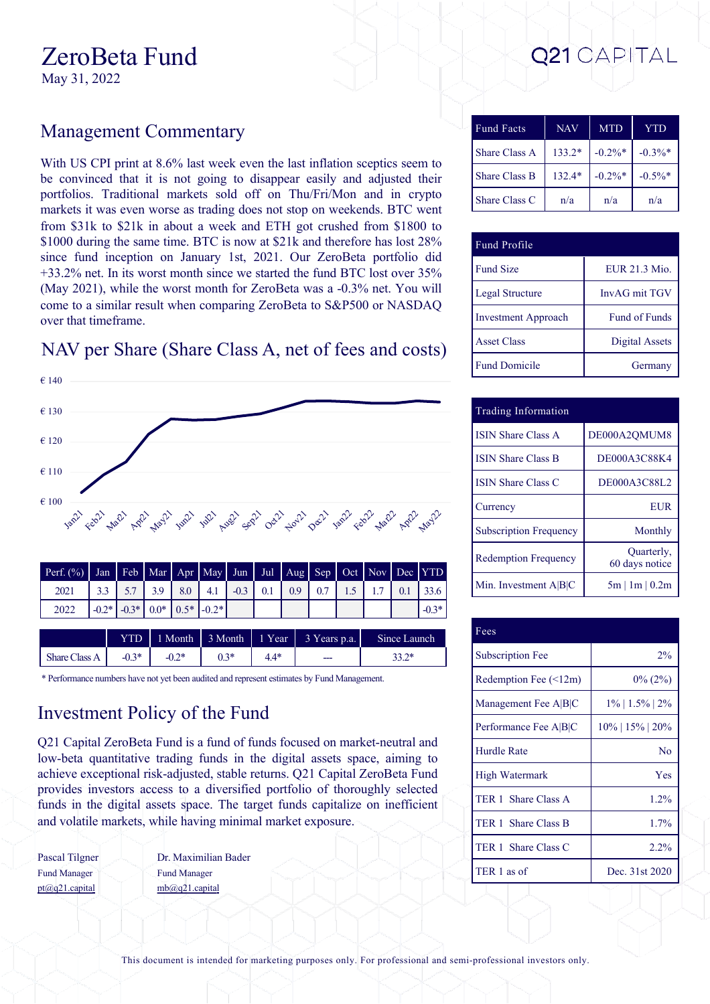#### $\mathcal{L}$ Cro $\mathcal{L}$ cra Fund

May 31, 2022

## Management Commentary

With US CPI print at 8.6% last week even the last inflation sceptics seem to be convinced that it is not going to disappear easily and adjusted their portfolios. Traditional markets sold off on Thu/Fri/Mon and in crypto markets it was even worse as trading does not stop on weekends. BTC went from \$31k to \$21k in about a week and ETH got crushed from \$1800 to \$1000 during the same time. BTC is now at \$21k and therefore has lost 28% since fund inception on January 1st, 2021. Our ZeroBeta portfolio did +33.2% net. In its worst month since we started the fund BTC lost over 35% (May 2021), while the worst month for ZeroBeta was a -0.3% net. You will come to a similar result when comparing ZeroBeta to S&P500 or NASDAQ over that timeframe.

## NAV per Share (Share Class A, net of fees and costs)



| $2*$<br>$\mathcal{L} \cap \mathcal{R}$<br>うつま<br>51. 71米。 |                      |             |      |     |     |     |                        |
|-----------------------------------------------------------|----------------------|-------------|------|-----|-----|-----|------------------------|
|                                                           | <b>Share Class A</b> | $-U_{\sim}$ | -0.4 | v.J | 7.7 | --- | $\sim$<br>. .<br>ے ۔ ب |

\* Performance numbers have not yet been audited and represent estimates by Fund Management.

# Investment Policy of the Fund

Q21 Capital ZeroBeta Fund is a fund of funds focused on market-neutral and low-beta quantitative trading funds in the digital assets space, aiming to achieve exceptional risk-adjusted, stable returns. Q21 Capital ZeroBeta Fund provides investors access to a diversified portfolio of thoroughly selected funds in the digital assets space. The target funds capitalize on inefficient and volatile markets, while having minimal market exposure.

Pascal Tilgner Fund Manager pt@q21.capital

Dr. Maximilian Bader Fund Manager mb@q21.capital

| <b>Fund Facts</b>    | <b>NAV</b> | <b>MTD</b> | YTD        |
|----------------------|------------|------------|------------|
| <b>Share Class A</b> | $133.2*$   | $-0.2\%$ * | $-0.3\%$ * |
| <b>Share Class B</b> | $132.4*$   | $-0.2\%$ * | $-0.5\%$ * |
| Share Class C        | n/a        | n/a        | n/a        |

| Fund Profile               |                |
|----------------------------|----------------|
| <b>Fund Size</b>           | EUR 21.3 Mio.  |
| Legal Structure            | InvAG mit TGV  |
| <b>Investment Approach</b> | Fund of Funds  |
| <b>Asset Class</b>         | Digital Assets |
| <b>Fund Domicile</b>       | Germany        |

| Trading Information           |                              |
|-------------------------------|------------------------------|
| <b>ISIN Share Class A</b>     | DE000A2OMUM8                 |
| <b>ISIN Share Class B</b>     | DE000A3C88K4                 |
| <b>ISIN Share Class C</b>     | DE000A3C88L2                 |
| Currency                      | <b>EUR</b>                   |
| <b>Subscription Frequency</b> | Monthly                      |
| <b>Redemption Frequency</b>   | Quarterly,<br>60 days notice |
| Min. Investment $A B C$       | $5m \mid 1m \mid 0.2m$       |

| Fees                        |                    |
|-----------------------------|--------------------|
| <b>Subscription Fee</b>     | $2\%$              |
| Redemption Fee $(\leq 12m)$ | $0\%$ (2%)         |
| Management Fee A B C        | $1\%$   1.5%   2%  |
| Performance Fee A B C       | $10\%$   15%   20% |
| <b>Hurdle Rate</b>          | N <sub>o</sub>     |
| High Watermark              | Yes                |
| TER 1 Share Class A         | 1.2%               |
| TER 1 Share Class B         | 1.7%               |
| TER 1 Share Class C         | $2.2\%$            |
| TER 1 as of                 | Dec. 31st 2020     |

This document is intended for marketing purposes only. For professional and semi-professional investors only.